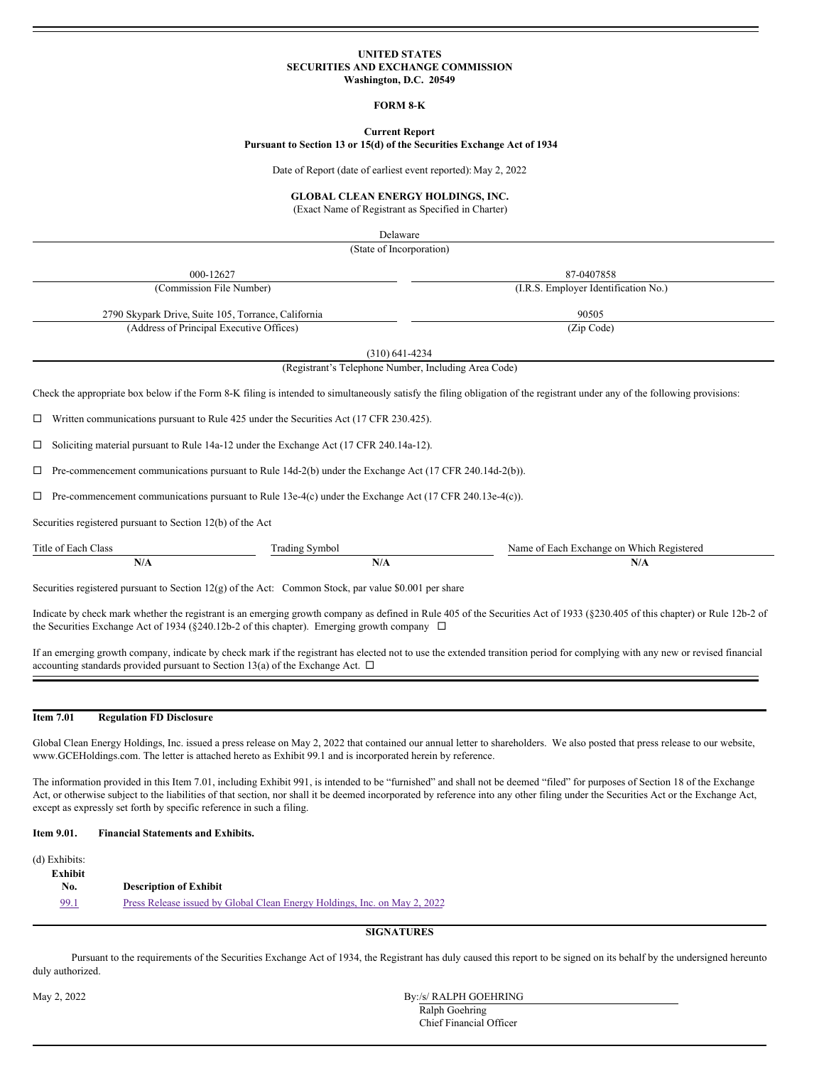# **UNITED STATES SECURITIES AND EXCHANGE COMMISSION Washington, D.C. 20549**

## **FORM 8‑K**

**Current Report**

#### **Pursuant to Section 13 or 15(d) of the Securities Exchange Act of 1934**

Date of Report (date of earliest event reported): May 2, 2022

# **GLOBAL CLEAN ENERGY HOLDINGS, INC.**

(Exact Name of Registrant as Specified in Charter)

|                                                            | Delaware                                                                                                |                                                                                                                                                                              |
|------------------------------------------------------------|---------------------------------------------------------------------------------------------------------|------------------------------------------------------------------------------------------------------------------------------------------------------------------------------|
|                                                            | (State of Incorporation)                                                                                |                                                                                                                                                                              |
| 000-12627                                                  |                                                                                                         | 87-0407858                                                                                                                                                                   |
| (Commission File Number)                                   |                                                                                                         | (I.R.S. Employer Identification No.)                                                                                                                                         |
| 2790 Skypark Drive, Suite 105, Torrance, California        |                                                                                                         | 90505                                                                                                                                                                        |
| (Address of Principal Executive Offices)                   |                                                                                                         | (Zip Code)                                                                                                                                                                   |
|                                                            | $(310)$ 641-4234                                                                                        |                                                                                                                                                                              |
|                                                            | (Registrant's Telephone Number, Including Area Code)                                                    |                                                                                                                                                                              |
|                                                            |                                                                                                         | Check the appropriate box below if the Form 8-K filing is intended to simultaneously satisfy the filing obligation of the registrant under any of the following provisions:  |
|                                                            |                                                                                                         |                                                                                                                                                                              |
| ப                                                          | Written communications pursuant to Rule 425 under the Securities Act (17 CFR 230.425).                  |                                                                                                                                                                              |
| □                                                          | Soliciting material pursuant to Rule 14a-12 under the Exchange Act (17 CFR 240.14a-12).                 |                                                                                                                                                                              |
| □                                                          | Pre-commencement communications pursuant to Rule 14d-2(b) under the Exchange Act (17 CFR 240.14d-2(b)). |                                                                                                                                                                              |
| □                                                          | Pre-commencement communications pursuant to Rule 13e-4(c) under the Exchange Act (17 CFR 240.13e-4(c)). |                                                                                                                                                                              |
| Securities registered pursuant to Section 12(b) of the Act |                                                                                                         |                                                                                                                                                                              |
| Title of Each Class                                        | <b>Trading Symbol</b>                                                                                   | Name of Each Exchange on Which Registered                                                                                                                                    |
| N/A                                                        | N/A                                                                                                     | N/A                                                                                                                                                                          |
|                                                            | Securities registered pursuant to Section 12(g) of the Act: Common Stock, par value \$0.001 per share   |                                                                                                                                                                              |
|                                                            | the Securities Exchange Act of 1934 (§240.12b-2 of this chapter). Emerging growth company $\Box$        | Indicate by check mark whether the registrant is an emerging growth company as defined in Rule 405 of the Securities Act of 1933 (§230.405 of this chapter) or Rule 12b-2 of |
|                                                            |                                                                                                         | in the same of the state of the same of the same of the same of the same of the same of the same of the same o                                                               |

If an emerging growth company, indicate by check mark if the registrant has elected not to use the extended transition period for complying with any new or revised financial accounting standards provided pursuant to Section 13(a) of the Exchange Act.  $\Box$ 

# **Item 7.01 Regulation FD Disclosure**

Global Clean Energy Holdings, Inc. issued a press release on May 2, 2022 that contained our annual letter to shareholders. We also posted that press release to our website, www.GCEHoldings.com. The letter is attached hereto as Exhibit 99.1 and is incorporated herein by reference.

The information provided in this Item 7.01, including Exhibit 991, is intended to be "furnished" and shall not be deemed "filed" for purposes of Section 18 of the Exchange Act, or otherwise subject to the liabilities of that section, nor shall it be deemed incorporated by reference into any other filing under the Securities Act or the Exchange Act, except as expressly set forth by specific reference in such a filing.

# **Item 9.01. Financial Statements and Exhibits.**

(d) Exhibits: **Exhibit No. Description of Exhibit** [99.1](#page-1-0) Press Release issued by Global Clean Energy [Holdings,](#page-1-0) Inc. on May 2, 2022

# **SIGNATURES**

Pursuant to the requirements of the Securities Exchange Act of 1934, the Registrant has duly caused this report to be signed on its behalf by the undersigned hereunto duly authorized.

May 2, 2022 By:/s/ RALPH GOEHRING Ralph Goehring Chief Financial Officer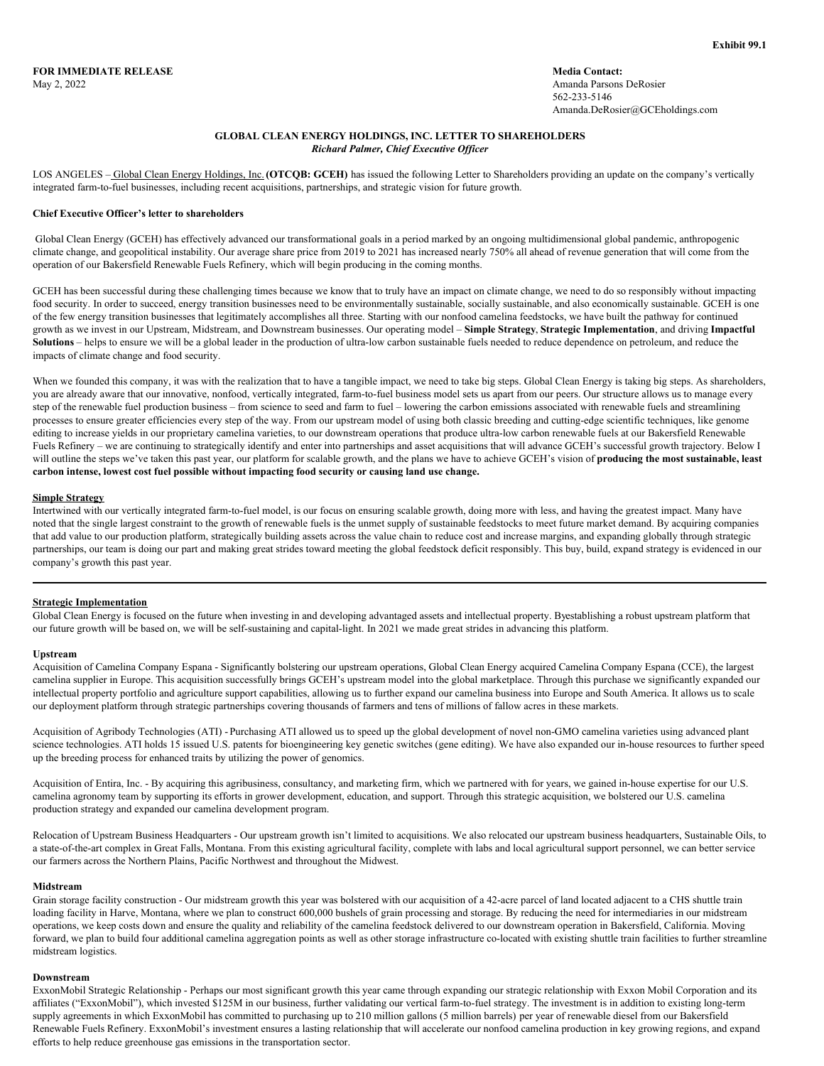# **GLOBAL CLEAN ENERGY HOLDINGS, INC. LETTER TO SHAREHOLDERS** *Richard Palmer, Chief Executive Of icer*

<span id="page-1-0"></span>LOS ANGELES – Global Clean Energy Holdings, Inc.**(OTCQB: GCEH)** has issued the following Letter to Shareholders providing an update on the company's vertically integrated farm-to-fuel businesses, including recent acquisitions, partnerships, and strategic vision for future growth.

## **Chief Executive Officer's letter to shareholders**

Global Clean Energy (GCEH) has effectively advanced our transformational goals in a period marked by an ongoing multidimensional global pandemic, anthropogenic climate change, and geopolitical instability. Our average share price from 2019 to 2021 has increased nearly 750% all ahead of revenue generation that will come from the operation of our Bakersfield Renewable Fuels Refinery, which will begin producing in the coming months.

GCEH has been successful during these challenging times because we know that to truly have an impact on climate change, we need to do so responsibly without impacting food security. In order to succeed, energy transition businesses need to be environmentally sustainable, socially sustainable, and also economically sustainable. GCEH is one of the few energy transition businesses that legitimately accomplishes all three. Starting with our nonfood camelina feedstocks, we have built the pathway for continued growth as we invest in our Upstream, Midstream, and Downstream businesses. Our operating model – **Simple Strategy**, **Strategic Implementation**, and driving **Impactful Solutions** – helps to ensure we will be a global leader in the production of ultra-low carbon sustainable fuels needed to reduce dependence on petroleum, and reduce the impacts of climate change and food security.

When we founded this company, it was with the realization that to have a tangible impact, we need to take big steps. Global Clean Energy is taking big steps. As shareholders, you are already aware that our innovative, nonfood, vertically integrated, farm-to-fuel business model sets us apart from our peers. Our structure allows us to manage every step of the renewable fuel production business – from science to seed and farm to fuel – lowering the carbon emissions associated with renewable fuels and streamlining processes to ensure greater efficiencies every step of the way. From our upstream model of using both classic breeding and cutting-edge scientific techniques, like genome editing to increase yields in our proprietary camelina varieties, to our downstream operations that produce ultra-low carbon renewable fuels at our Bakersfield Renewable Fuels Refinery – we are continuing to strategically identify and enter into partnerships and asset acquisitions that will advance GCEH's successful growth trajectory. Below I will outline the steps we've taken this past year, our platform for scalable growth, and the plans we have to achieve GCEH's vision of **producing the most sustainable, least carbon intense, lowest cost fuel possible without impacting food security or causing land use change.**

### **Simple Strategy**

Intertwined with our vertically integrated farm-to-fuel model, is our focus on ensuring scalable growth, doing more with less, and having the greatest impact. Many have noted that the single largest constraint to the growth of renewable fuels is the unmet supply of sustainable feedstocks to meet future market demand. By acquiring companies that add value to our production platform, strategically building assets across the value chain to reduce cost and increase margins, and expanding globally through strategic partnerships, our team is doing our part and making great strides toward meeting the global feedstock deficit responsibly. This buy, build, expand strategy is evidenced in our company's growth this past year.

## **Strategic Implementation**

Global Clean Energy is focused on the future when investing in and developing advantaged assets and intellectual property. Byestablishing a robust upstream platform that our future growth will be based on, we will be self-sustaining and capital-light. In 2021 we made great strides in advancing this platform.

#### **Upstream**

Acquisition of Camelina Company Espana - Significantly bolstering our upstream operations, Global Clean Energy acquired Camelina Company Espana (CCE), the largest camelina supplier in Europe. This acquisition successfully brings GCEH's upstream model into the global marketplace. Through this purchase we significantly expanded our intellectual property portfolio and agriculture support capabilities, allowing us to further expand our camelina business into Europe and South America. It allows us to scale our deployment platform through strategic partnerships covering thousands of farmers and tens of millions of fallow acres in these markets.

Acquisition of Agribody Technologies (ATI) - Purchasing ATI allowed us to speed up the global development of novel non-GMO camelina varieties using advanced plant science technologies. ATI holds 15 issued U.S. patents for bioengineering key genetic switches (gene editing). We have also expanded our in-house resources to further speed up the breeding process for enhanced traits by utilizing the power of genomics.

Acquisition of Entira, Inc. - By acquiring this agribusiness, consultancy, and marketing firm, which we partnered with for years, we gained in-house expertise for our U.S. camelina agronomy team by supporting its efforts in grower development, education, and support. Through this strategic acquisition, we bolstered our U.S. camelina production strategy and expanded our camelina development program.

Relocation of Upstream Business Headquarters - Our upstream growth isn't limited to acquisitions. We also relocated our upstream business headquarters, Sustainable Oils, to a state-of-the-art complex in Great Falls, Montana. From this existing agricultural facility, complete with labs and local agricultural support personnel, we can better service our farmers across the Northern Plains, Pacific Northwest and throughout the Midwest.

#### **Midstream**

Grain storage facility construction - Our midstream growth this year was bolstered with our acquisition of a 42-acre parcel of land located adjacent to a CHS shuttle train loading facility in Harve, Montana, where we plan to construct 600,000 bushels of grain processing and storage. By reducing the need for intermediaries in our midstream operations, we keep costs down and ensure the quality and reliability of the camelina feedstock delivered to our downstream operation in Bakersfield, California. Moving forward, we plan to build four additional camelina aggregation points as well as other storage infrastructure co-located with existing shuttle train facilities to further streamline midstream logistics.

## **Downstream**

ExxonMobil Strategic Relationship - Perhaps our most significant growth this year came through expanding our strategic relationship with Exxon Mobil Corporation and its affiliates ("ExxonMobil"), which invested \$125M in our business, further validating our vertical farm-to-fuel strategy. The investment is in addition to existing long-term supply agreements in which ExxonMobil has committed to purchasing up to 210 million gallons (5 million barrels) per year of renewable diesel from our Bakersfield Renewable Fuels Refinery. ExxonMobil's investment ensures a lasting relationship that will accelerate our nonfood camelina production in key growing regions, and expand efforts to help reduce greenhouse gas emissions in the transportation sector.